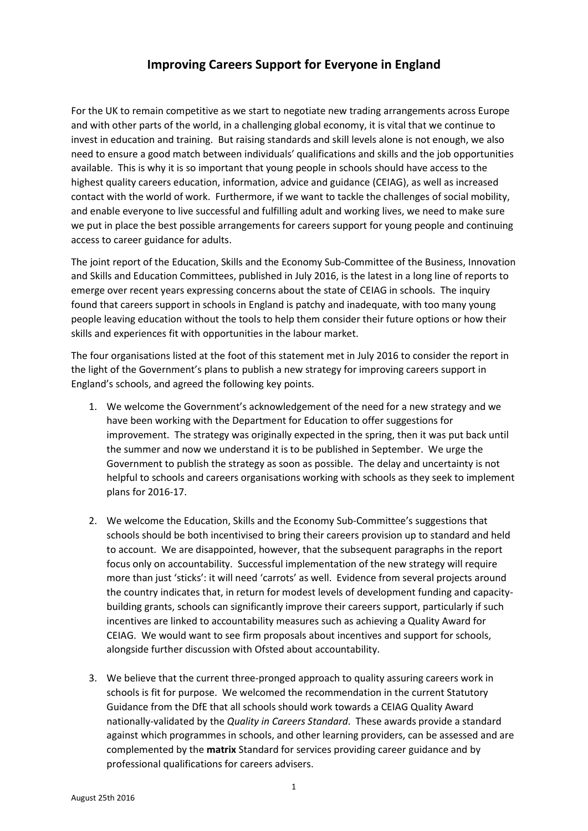## **Improving Careers Support for Everyone in England**

For the UK to remain competitive as we start to negotiate new trading arrangements across Europe and with other parts of the world, in a challenging global economy, it is vital that we continue to invest in education and training. But raising standards and skill levels alone is not enough, we also need to ensure a good match between individuals' qualifications and skills and the job opportunities available. This is why it is so important that young people in schools should have access to the highest quality careers education, information, advice and guidance (CEIAG), as well as increased contact with the world of work. Furthermore, if we want to tackle the challenges of social mobility, and enable everyone to live successful and fulfilling adult and working lives, we need to make sure we put in place the best possible arrangements for careers support for young people and continuing access to career guidance for adults.

The joint report of the Education, Skills and the Economy Sub-Committee of the Business, Innovation and Skills and Education Committees, published in July 2016, is the latest in a long line of reports to emerge over recent years expressing concerns about the state of CEIAG in schools. The inquiry found that careers support in schools in England is patchy and inadequate, with too many young people leaving education without the tools to help them consider their future options or how their skills and experiences fit with opportunities in the labour market.

The four organisations listed at the foot of this statement met in July 2016 to consider the report in the light of the Government's plans to publish a new strategy for improving careers support in England's schools, and agreed the following key points.

- 1. We welcome the Government's acknowledgement of the need for a new strategy and we have been working with the Department for Education to offer suggestions for improvement. The strategy was originally expected in the spring, then it was put back until the summer and now we understand it is to be published in September. We urge the Government to publish the strategy as soon as possible. The delay and uncertainty is not helpful to schools and careers organisations working with schools as they seek to implement plans for 2016-17.
- 2. We welcome the Education, Skills and the Economy Sub-Committee's suggestions that schools should be both incentivised to bring their careers provision up to standard and held to account. We are disappointed, however, that the subsequent paragraphs in the report focus only on accountability. Successful implementation of the new strategy will require more than just 'sticks': it will need 'carrots' as well. Evidence from several projects around the country indicates that, in return for modest levels of development funding and capacitybuilding grants, schools can significantly improve their careers support, particularly if such incentives are linked to accountability measures such as achieving a Quality Award for CEIAG. We would want to see firm proposals about incentives and support for schools, alongside further discussion with Ofsted about accountability.
- 3. We believe that the current three-pronged approach to quality assuring careers work in schools is fit for purpose. We welcomed the recommendation in the current Statutory Guidance from the DfE that all schools should work towards a CEIAG Quality Award nationally-validated by the *Quality in Careers Standard*. These awards provide a standard against which programmes in schools, and other learning providers, can be assessed and are complemented by the **matrix** Standard for services providing career guidance and by professional qualifications for careers advisers.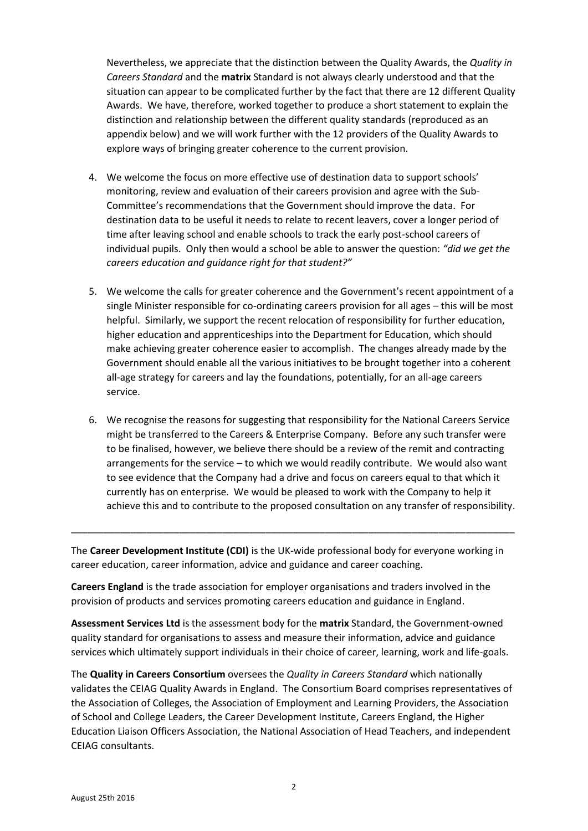Nevertheless, we appreciate that the distinction between the Quality Awards, the *Quality in Careers Standard* and the **matrix** Standard is not always clearly understood and that the situation can appear to be complicated further by the fact that there are 12 different Quality Awards. We have, therefore, worked together to produce a short statement to explain the distinction and relationship between the different quality standards (reproduced as an appendix below) and we will work further with the 12 providers of the Quality Awards to explore ways of bringing greater coherence to the current provision.

- 4. We welcome the focus on more effective use of destination data to support schools' monitoring, review and evaluation of their careers provision and agree with the Sub-Committee's recommendations that the Government should improve the data. For destination data to be useful it needs to relate to recent leavers, cover a longer period of time after leaving school and enable schools to track the early post-school careers of individual pupils. Only then would a school be able to answer the question: *"did we get the careers education and guidance right for that student?"*
- 5. We welcome the calls for greater coherence and the Government's recent appointment of a single Minister responsible for co-ordinating careers provision for all ages – this will be most helpful. Similarly, we support the recent relocation of responsibility for further education, higher education and apprenticeships into the Department for Education, which should make achieving greater coherence easier to accomplish. The changes already made by the Government should enable all the various initiatives to be brought together into a coherent all-age strategy for careers and lay the foundations, potentially, for an all-age careers service.
- 6. We recognise the reasons for suggesting that responsibility for the National Careers Service might be transferred to the Careers & Enterprise Company. Before any such transfer were to be finalised, however, we believe there should be a review of the remit and contracting arrangements for the service – to which we would readily contribute. We would also want to see evidence that the Company had a drive and focus on careers equal to that which it currently has on enterprise. We would be pleased to work with the Company to help it achieve this and to contribute to the proposed consultation on any transfer of responsibility.

The **Career Development Institute (CDI)** is the UK-wide professional body for everyone working in career education, career information, advice and guidance and career coaching.

\_\_\_\_\_\_\_\_\_\_\_\_\_\_\_\_\_\_\_\_\_\_\_\_\_\_\_\_\_\_\_\_\_\_\_\_\_\_\_\_\_\_\_\_\_\_\_\_\_\_\_\_\_\_\_\_\_\_\_\_\_\_\_\_\_\_\_\_\_\_\_\_\_\_\_\_\_\_\_\_\_\_

**Careers England** is the trade association for employer organisations and traders involved in the provision of products and services promoting careers education and guidance in England.

**Assessment Services Ltd** is the assessment body for the **matrix** Standard, the Government-owned quality standard for organisations to assess and measure their information, advice and guidance services which ultimately support individuals in their choice of career, learning, work and life-goals.

The **Quality in Careers Consortium** oversees the *Quality in Careers Standard* which nationally validates the CEIAG Quality Awards in England. The Consortium Board comprises representatives of the Association of Colleges, the Association of Employment and Learning Providers, the Association of School and College Leaders, the Career Development Institute, Careers England, the Higher Education Liaison Officers Association, the National Association of Head Teachers, and independent CEIAG consultants.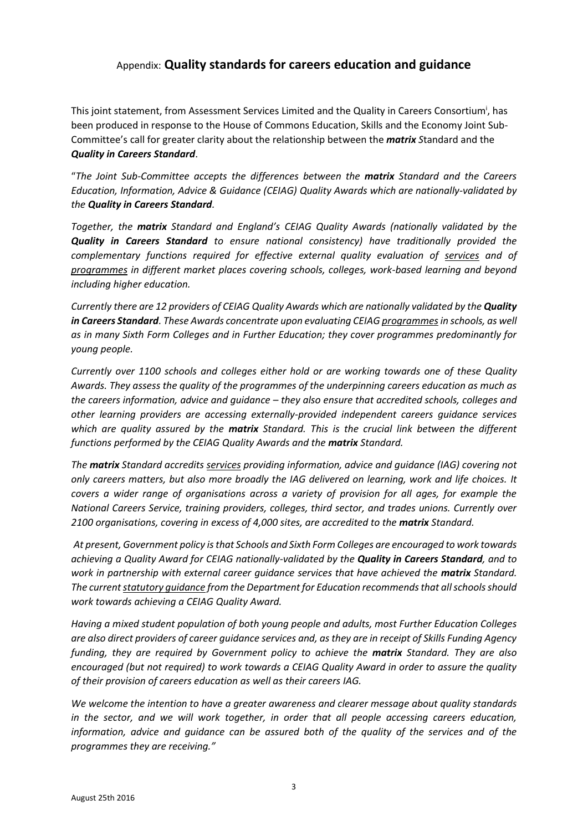## Appendix: **Quality standards for careers education and guidance**

This joint statement, from Assessment Services Limited and the Quality in Careers Consortium<sup>i</sup>, has been produced in response to the House of Commons Education, Skills and the Economy Joint Sub-Committee's call for greater clarity about the relationship between the *matrix S*tandard and the *Quality in Careers Standard*.

"*The Joint Sub-Committee accepts the differences between the matrix Standard and the Careers Education, Information, Advice & Guidance (CEIAG) Quality Awards which are nationally-validated by the Quality in Careers Standard.* 

*Together, the matrix Standard and England's CEIAG Quality Awards (nationally validated by the Quality in Careers Standard to ensure national consistency) have traditionally provided the complementary functions required for effective external quality evaluation of services and of programmes in different market places covering schools, colleges, work-based learning and beyond including higher education.*

*Currently there are 12 providers of CEIAG Quality Awards which are nationally validated by the Quality in Careers Standard. These Awards concentrate upon evaluating CEIAG programmesin schools, as well as in many Sixth Form Colleges and in Further Education; they cover programmes predominantly for young people.* 

*Currently over 1100 schools and colleges either hold or are working towards one of these Quality Awards. They assess the quality of the programmes of the underpinning careers education as much as the careers information, advice and guidance – they also ensure that accredited schools, colleges and other learning providers are accessing externally-provided independent careers guidance services which are quality assured by the matrix Standard. This is the crucial link between the different functions performed by the CEIAG Quality Awards and the matrix Standard.*

*The matrix Standard accredits services providing information, advice and guidance (IAG) covering not only careers matters, but also more broadly the IAG delivered on learning, work and life choices. It covers a wider range of organisations across a variety of provision for all ages, for example the National Careers Service, training providers, colleges, third sector, and trades unions. Currently over 2100 organisations, covering in excess of 4,000 sites, are accredited to the matrix Standard.* 

*At present, Government policy is that Schools and Sixth Form Colleges are encouraged to work towards achieving a Quality Award for CEIAG nationally-validated by the Quality in Careers Standard, and to work in partnership with external career quidance services that have achieved the <i>matrix* Standard. *The current statutory guidance from the Department for Education recommends that all schools should work towards achieving a CEIAG Quality Award.* 

*Having a mixed student population of both young people and adults, most Further Education Colleges are also direct providers of career guidance services and, as they are in receipt of Skills Funding Agency funding, they are required by Government policy to achieve the matrix Standard. They are also encouraged (but not required) to work towards a CEIAG Quality Award in order to assure the quality of their provision of careers education as well as their careers IAG.*

*We welcome the intention to have a greater awareness and clearer message about quality standards in the sector, and we will work together, in order that all people accessing careers education, information, advice and guidance can be assured both of the quality of the services and of the programmes they are receiving."*